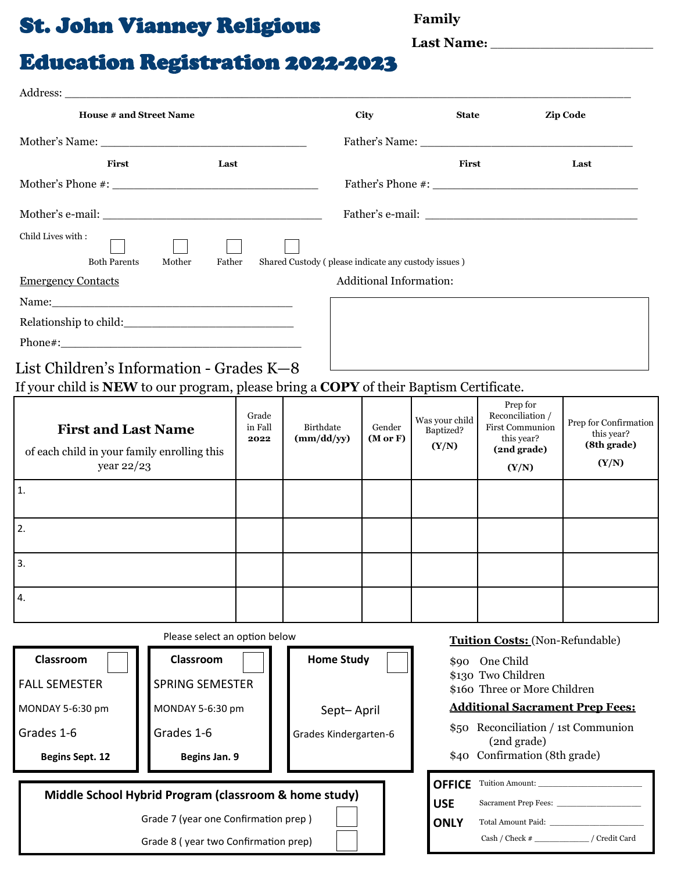## St. John Vianney Religious **Family**

**Last Name:** \_\_\_\_\_\_\_\_\_\_\_\_\_\_\_\_\_\_\_\_\_\_\_

# Education Registration 2022-2023

| <b>House # and Street Name</b>                                                         |                          |                                                     | City                          |                                                    | <b>State</b>                                                                                                                                                                                                                  | <b>Zip Code</b>                                    |  |
|----------------------------------------------------------------------------------------|--------------------------|-----------------------------------------------------|-------------------------------|----------------------------------------------------|-------------------------------------------------------------------------------------------------------------------------------------------------------------------------------------------------------------------------------|----------------------------------------------------|--|
|                                                                                        |                          |                                                     |                               |                                                    |                                                                                                                                                                                                                               |                                                    |  |
| First<br>Last                                                                          |                          |                                                     |                               | First                                              |                                                                                                                                                                                                                               | Last                                               |  |
|                                                                                        |                          |                                                     |                               |                                                    |                                                                                                                                                                                                                               |                                                    |  |
|                                                                                        |                          |                                                     |                               |                                                    |                                                                                                                                                                                                                               |                                                    |  |
| Child Lives with:                                                                      |                          |                                                     |                               |                                                    |                                                                                                                                                                                                                               |                                                    |  |
| Father<br><b>Both Parents</b><br>Mother                                                |                          | Shared Custody (please indicate any custody issues) |                               |                                                    |                                                                                                                                                                                                                               |                                                    |  |
| <b>Emergency Contacts</b>                                                              |                          |                                                     | Additional Information:       |                                                    |                                                                                                                                                                                                                               |                                                    |  |
|                                                                                        |                          |                                                     |                               |                                                    |                                                                                                                                                                                                                               |                                                    |  |
|                                                                                        |                          |                                                     |                               |                                                    |                                                                                                                                                                                                                               |                                                    |  |
|                                                                                        |                          |                                                     |                               |                                                    |                                                                                                                                                                                                                               |                                                    |  |
| List Children's Information - Grades K-8                                               |                          |                                                     |                               |                                                    | the control of the control of the control of the control of the control of the control of the control of the control of the control of the control of the control of the control of the control of the control of the control |                                                    |  |
| If your child is NEW to our program, please bring a COPY of their Baptism Certificate. |                          |                                                     |                               |                                                    |                                                                                                                                                                                                                               |                                                    |  |
| <b>First and Last Name</b><br>of each child in your family enrolling this              | Grade<br>in Fall<br>2022 | Birthdate<br>(mm/dd/yy)                             | Gender<br>$(M \text{ or } F)$ | Was your child<br>Baptized?<br>(Y/N)               | Prep for<br>Reconciliation /<br><b>First Communion</b><br>this year?<br>(2nd grade)                                                                                                                                           | Prep for Confirmation<br>this year?<br>(8th grade) |  |
| year 22/23                                                                             |                          |                                                     |                               |                                                    | (Y/N)                                                                                                                                                                                                                         | (Y/N)                                              |  |
| 1.                                                                                     |                          |                                                     |                               |                                                    |                                                                                                                                                                                                                               |                                                    |  |
| 2.                                                                                     |                          |                                                     |                               |                                                    |                                                                                                                                                                                                                               |                                                    |  |
| 3.                                                                                     |                          |                                                     |                               |                                                    |                                                                                                                                                                                                                               |                                                    |  |
|                                                                                        |                          |                                                     |                               |                                                    |                                                                                                                                                                                                                               |                                                    |  |
| 4.                                                                                     |                          |                                                     |                               |                                                    |                                                                                                                                                                                                                               |                                                    |  |
| Please select an option below                                                          |                          |                                                     |                               |                                                    | <b>Tuition Costs:</b> (Non-Refundable)                                                                                                                                                                                        |                                                    |  |
| Classroom<br>Classroom                                                                 |                          | <b>Home Study</b>                                   |                               | \$90 One Child                                     |                                                                                                                                                                                                                               |                                                    |  |
| <b>SPRING SEMESTER</b><br><b>FALL SEMESTER</b>                                         |                          |                                                     |                               | \$130 Two Children<br>\$160 Three or More Children |                                                                                                                                                                                                                               |                                                    |  |
| MONDAY 5-6:30 pm<br>MONDAY 5-6:30 pm                                                   |                          | Sept-April                                          |                               | <b>Additional Sacrament Prep Fees:</b>             |                                                                                                                                                                                                                               |                                                    |  |
| Grades 1-6<br>Grades 1-6                                                               |                          | Grades Kindergarten-6                               |                               | \$50 Reconciliation / 1st Communion                |                                                                                                                                                                                                                               |                                                    |  |
| <b>Begins Sept. 12</b><br>Begins Jan. 9                                                |                          |                                                     |                               | (2nd grade)<br>\$40 Confirmation (8th grade)       |                                                                                                                                                                                                                               |                                                    |  |
| Middle School Hybrid Program (classroom & home study)                                  |                          |                                                     |                               | <b>OFFICE</b>                                      | Tuition Amount:                                                                                                                                                                                                               |                                                    |  |
|                                                                                        |                          |                                                     | <b>USE</b>                    |                                                    |                                                                                                                                                                                                                               |                                                    |  |
| Grade 7 (year one Confirmation prep)                                                   |                          |                                                     | <b>ONLY</b>                   | Cash / Check # _____________ / Credit Card         |                                                                                                                                                                                                                               |                                                    |  |
| Grade 8 (year two Confirmation prep)                                                   |                          |                                                     |                               |                                                    |                                                                                                                                                                                                                               |                                                    |  |